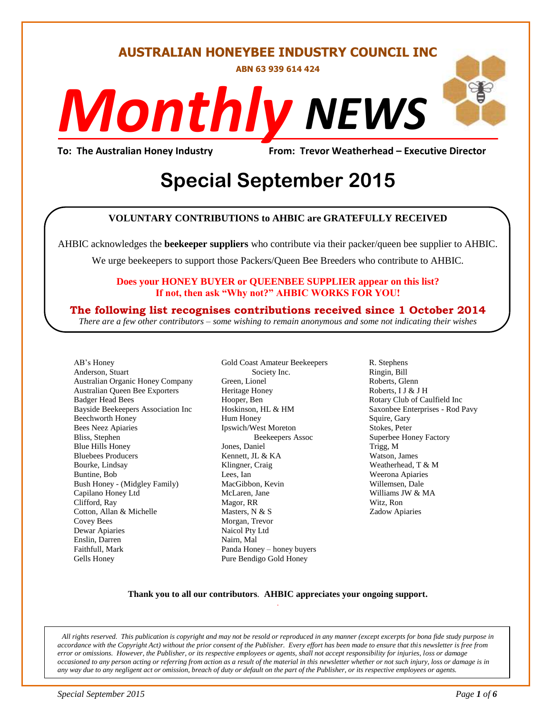**AUSTRALIAN HONEYBEE INDUSTRY COUNCIL INC**

**ABN 63 939 614 424**

# *NEWS Monthly*

**To: The Australian Honey Industry From: Trevor Weatherhead – Executive Director**

## **Discript Special September 2015**

### **VOLUNTARY CONTRIBUTIONS to AHBIC are GRATEFULLY RECEIVED**

AHBIC acknowledges the **beekeeper suppliers** who contribute via their packer/queen bee supplier to AHBIC.

We urge beekeepers to support those Packers/Queen Bee Breeders who contribute to AHBIC.

#### **Does your HONEY BUYER or QUEENBEE SUPPLIER appear on this list? If not, then ask "Why not?" AHBIC WORKS FOR YOU!**

### **The following list recognises contributions received since 1 October 2014**

*There are a few other contributors – some wishing to remain anonymous and some not indicating their wishes*

AB's Honey Anderson, Stuart Australian Organic Honey Company Australian Queen Bee Exporters Badger Head Bees Bayside Beekeepers Association Inc Beechworth Honey Bees Neez Apiaries Bliss, Stephen Blue Hills Honey Bluebees Producers Bourke, Lindsay Buntine, Bob Bush Honey - (Midgley Family) Capilano Honey Ltd Clifford, Ray Cotton, Allan & Michelle Covey Bees Dewar Apiaries Enslin, Darren Faithfull, Mark Gells Honey

Gold Coast Amateur Beekeepers Society Inc. Green, Lionel Heritage Honey Hooper, Ben Hoskinson, HL & HM Hum Honey Ipswich/West Moreton Beekeepers Assoc Jones, Daniel Kennett, JL & KA Klingner, Craig Lees, Ian MacGibbon, Kevin McLaren, Jane Magor, RR Masters, N & S Morgan, Trevor Naicol Pty Ltd Nairn, Mal Panda Honey – honey buyers Pure Bendigo Gold Honey

R. Stephens Ringin, Bill Roberts, Glenn Roberts, I J & J H Rotary Club of Caulfield Inc Saxonbee Enterprises - Rod Pavy Squire, Gary Stokes, Peter Superbee Honey Factory Trigg, M Watson, James Weatherhead, T & M Weerona Apiaries Willemsen, Dale Williams JW & MA Witz, Ron Zadow Apiaries

#### **Thank you to all our contributors***.* **AHBIC appreciates your ongoing support.** .

*All rights reserved. This publication is copyright and may not be resold or reproduced in any manner (except excerpts for bona fide study purpose in accordance with the Copyright Act) without the prior consent of the Publisher. Every effort has been made to ensure that this newsletter is free from error or omissions. However, the Publisher, or its respective employees or agents, shall not accept responsibility for injuries, loss or damage occasioned to any person acting or referring from action as a result of the material in this newsletter whether or not such injury, loss or damage is in any way due to any negligent act or omission, breach of duty or default on the part of the Publisher, or its respective employees or agents.*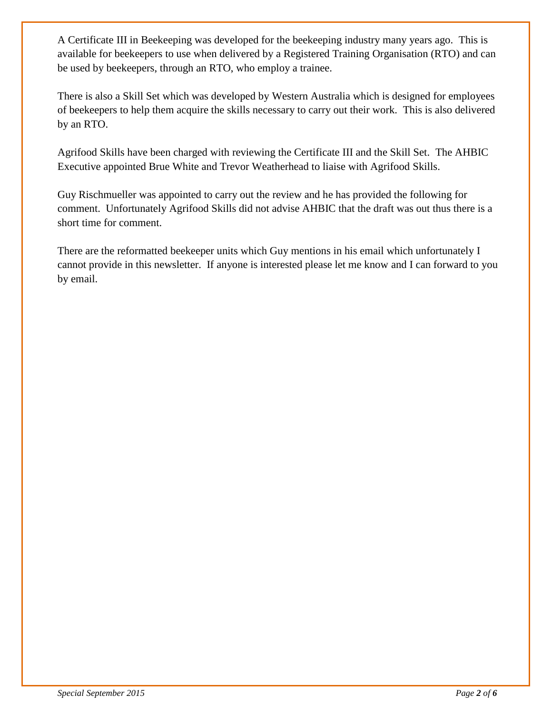A Certificate III in Beekeeping was developed for the beekeeping industry many years ago. This is available for beekeepers to use when delivered by a Registered Training Organisation (RTO) and can be used by beekeepers, through an RTO, who employ a trainee.

There is also a Skill Set which was developed by Western Australia which is designed for employees of beekeepers to help them acquire the skills necessary to carry out their work. This is also delivered by an RTO.

Agrifood Skills have been charged with reviewing the Certificate III and the Skill Set. The AHBIC Executive appointed Brue White and Trevor Weatherhead to liaise with Agrifood Skills.

Guy Rischmueller was appointed to carry out the review and he has provided the following for comment. Unfortunately Agrifood Skills did not advise AHBIC that the draft was out thus there is a short time for comment.

There are the reformatted beekeeper units which Guy mentions in his email which unfortunately I cannot provide in this newsletter. If anyone is interested please let me know and I can forward to you by email.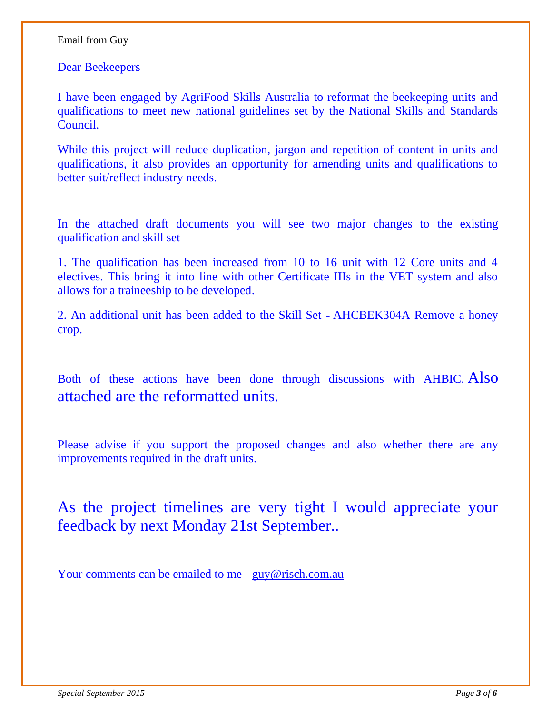#### Email from Guy

Dear Beekeepers

I have been engaged by AgriFood Skills Australia to reformat the beekeeping units and qualifications to meet new national guidelines set by the National Skills and Standards Council.

While this project will reduce duplication, jargon and repetition of content in units and qualifications, it also provides an opportunity for amending units and qualifications to better suit/reflect industry needs.

In the attached draft documents you will see two major changes to the existing qualification and skill set

1. The qualification has been increased from 10 to 16 unit with 12 Core units and 4 electives. This bring it into line with other Certificate IIIs in the VET system and also allows for a traineeship to be developed.

2. An additional unit has been added to the Skill Set - AHCBEK304A Remove a honey crop.

Both of these actions have been done through discussions with AHBIC. Also attached are the reformatted units.

Please advise if you support the proposed changes and also whether there are any improvements required in the draft units.

As the project timelines are very tight I would appreciate your feedback by next Monday 21st September..

Your comments can be emailed to me - [guy@risch.com.au](mailto:guy@risch.com.au)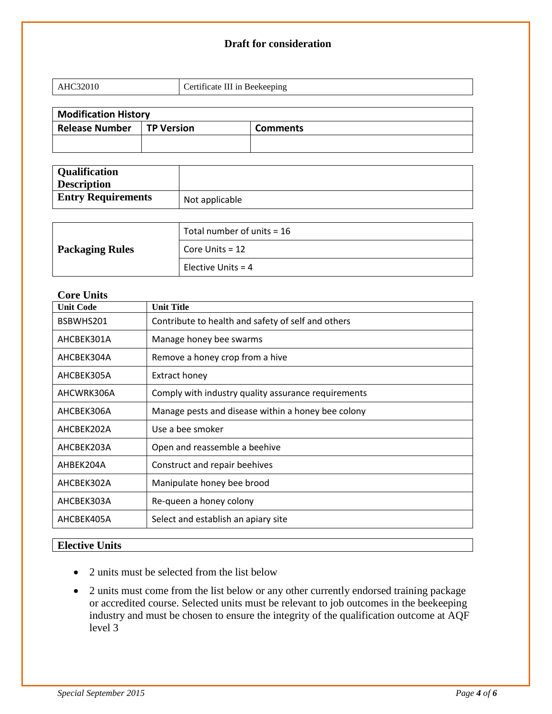#### **Draft for consideration**

| $\mathbf{v}$<br>____ | ertificate III in Beekeeping |
|----------------------|------------------------------|
|                      |                              |

| <b>Modification History</b> |                   |                 |
|-----------------------------|-------------------|-----------------|
| <b>Release Number</b>       | <b>TP Version</b> | <b>Comments</b> |
|                             |                   |                 |
|                             |                   |                 |

| <b>Qualification</b><br><b>Description</b> |                |
|--------------------------------------------|----------------|
| <b>Entry Requirements</b>                  | Not applicable |

|                        | Total number of units $=$ 16 |
|------------------------|------------------------------|
| <b>Packaging Rules</b> | Core Units $= 12$            |
|                        | Elective Units = $4$         |

#### **Core Units**

| <b>Unit Title</b>                                   |
|-----------------------------------------------------|
| Contribute to health and safety of self and others  |
| Manage honey bee swarms                             |
| Remove a honey crop from a hive                     |
| <b>Extract honey</b>                                |
| Comply with industry quality assurance requirements |
| Manage pests and disease within a honey bee colony  |
| Use a bee smoker                                    |
| Open and reassemble a beehive                       |
| Construct and repair beehives                       |
| Manipulate honey bee brood                          |
| Re-queen a honey colony                             |
| Select and establish an apiary site                 |
|                                                     |

### **Elective Units**

- 2 units must be selected from the list below
- 2 units must come from the list below or any other currently endorsed training package or accredited course. Selected units must be relevant to job outcomes in the beekeeping industry and must be chosen to ensure the integrity of the qualification outcome at AQF level 3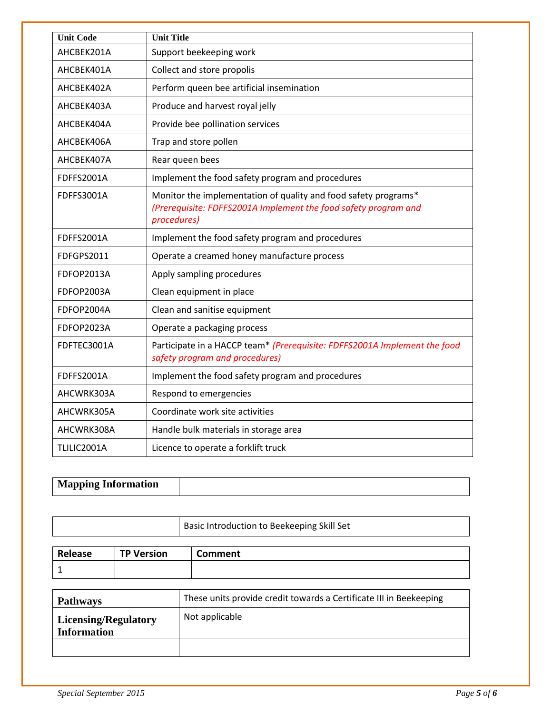| <b>Unit Code</b>  | <b>Unit Title</b>                                                                                                                                 |
|-------------------|---------------------------------------------------------------------------------------------------------------------------------------------------|
| AHCBEK201A        | Support beekeeping work                                                                                                                           |
| AHCBEK401A        | Collect and store propolis                                                                                                                        |
| AHCBEK402A        | Perform queen bee artificial insemination                                                                                                         |
| AHCBEK403A        | Produce and harvest royal jelly                                                                                                                   |
| AHCBEK404A        | Provide bee pollination services                                                                                                                  |
| AHCBEK406A        | Trap and store pollen                                                                                                                             |
| AHCBEK407A        | Rear queen bees                                                                                                                                   |
| <b>FDFFS2001A</b> | Implement the food safety program and procedures                                                                                                  |
| <b>FDFFS3001A</b> | Monitor the implementation of quality and food safety programs*<br>(Prerequisite: FDFFS2001A Implement the food safety program and<br>procedures) |
| <b>FDFFS2001A</b> | Implement the food safety program and procedures                                                                                                  |
| FDFGPS2011        | Operate a creamed honey manufacture process                                                                                                       |
| FDFOP2013A        | Apply sampling procedures                                                                                                                         |
| FDFOP2003A        | Clean equipment in place                                                                                                                          |
| FDFOP2004A        | Clean and sanitise equipment                                                                                                                      |
| FDFOP2023A        | Operate a packaging process                                                                                                                       |
| FDFTEC3001A       | Participate in a HACCP team* (Prerequisite: FDFFS2001A Implement the food<br>safety program and procedures)                                       |
| <b>FDFFS2001A</b> | Implement the food safety program and procedures                                                                                                  |
| AHCWRK303A        | Respond to emergencies                                                                                                                            |
| AHCWRK305A        | Coordinate work site activities                                                                                                                   |
| AHCWRK308A        | Handle bulk materials in storage area                                                                                                             |
| TLILIC2001A       | Licence to operate a forklift truck                                                                                                               |

| <b>Mapping Information</b> |  |
|----------------------------|--|
|                            |  |

| Basic Introduction to Beekeeping Skill Set |
|--------------------------------------------|
|                                            |

| Release | <b>TP Version</b> | Comment |
|---------|-------------------|---------|
|         |                   |         |

| <b>Pathways</b>                                   | These units provide credit towards a Certificate III in Beekeeping |
|---------------------------------------------------|--------------------------------------------------------------------|
| <b>Licensing/Regulatory</b><br><b>Information</b> | Not applicable                                                     |
|                                                   |                                                                    |